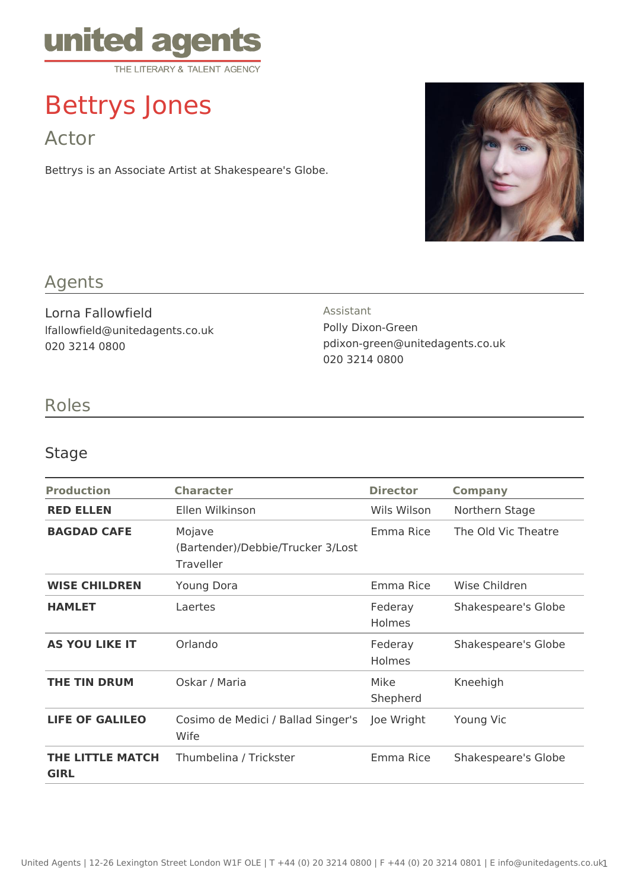

# Bettrys Jones

Actor

Bettrys is an Associate Artist at Shakespeare's Globe.



# Agents

Lorna Fallowfield lfallowfield@unitedagents.co.uk 020 3214 0800

#### Assistant

Polly Dixon-Green pdixon-green@unitedagents.co.uk 020 3214 0800

## Roles

### Stage

| <b>Production</b>               | <b>Character</b>                                         | <b>Director</b>          | <b>Company</b>      |
|---------------------------------|----------------------------------------------------------|--------------------------|---------------------|
| <b>RED ELLEN</b>                | Ellen Wilkinson                                          | Wils Wilson              | Northern Stage      |
| <b>BAGDAD CAFE</b>              | Mojave<br>(Bartender)/Debbie/Trucker 3/Lost<br>Traveller | Emma Rice                | The Old Vic Theatre |
| <b>WISE CHILDREN</b>            | <b>Young Dora</b>                                        | Emma Rice                | Wise Children       |
| <b>HAMLET</b>                   | Laertes                                                  | Federay<br><b>Holmes</b> | Shakespeare's Globe |
| <b>AS YOU LIKE IT</b>           | Orlando                                                  | Federay<br>Holmes        | Shakespeare's Globe |
| <b>THE TIN DRUM</b>             | Oskar / Maria                                            | Mike<br>Shepherd         | Kneehigh            |
| <b>LIFE OF GALILEO</b>          | Cosimo de Medici / Ballad Singer's<br>Wife               | Joe Wright               | Young Vic           |
| THE LITTLE MATCH<br><b>GIRL</b> | Thumbelina / Trickster                                   | Emma Rice                | Shakespeare's Globe |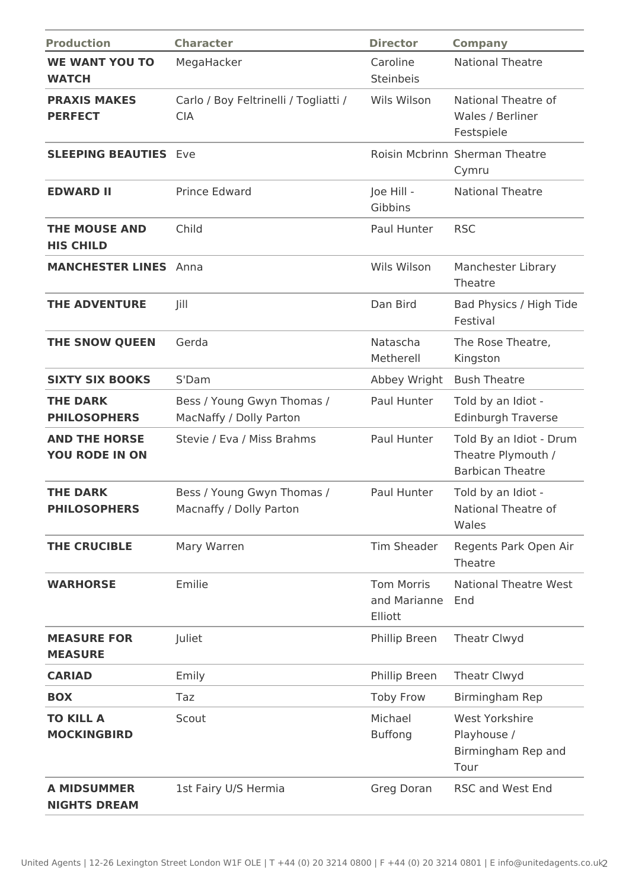| <b>Production</b>                             | <b>Character</b>                                      | <b>Director</b>                              | <b>Company</b>                                                           |
|-----------------------------------------------|-------------------------------------------------------|----------------------------------------------|--------------------------------------------------------------------------|
| <b>WE WANT YOU TO</b><br><b>WATCH</b>         | MegaHacker                                            | Caroline<br>Steinbeis                        | <b>National Theatre</b>                                                  |
| <b>PRAXIS MAKES</b><br><b>PERFECT</b>         | Carlo / Boy Feltrinelli / Togliatti /<br><b>CIA</b>   | Wils Wilson                                  | National Theatre of<br>Wales / Berliner<br>Festspiele                    |
| <b>SLEEPING BEAUTIES Eve</b>                  |                                                       |                                              | Roisin Mcbrinn Sherman Theatre<br>Cymru                                  |
| <b>EDWARD II</b>                              | <b>Prince Edward</b>                                  | Joe Hill -<br>Gibbins                        | <b>National Theatre</b>                                                  |
| <b>THE MOUSE AND</b><br><b>HIS CHILD</b>      | Child                                                 | Paul Hunter                                  | <b>RSC</b>                                                               |
| <b>MANCHESTER LINES</b>                       | Anna                                                  | Wils Wilson                                  | Manchester Library<br>Theatre                                            |
| <b>THE ADVENTURE</b>                          | Jill                                                  | Dan Bird                                     | Bad Physics / High Tide<br>Festival                                      |
| THE SNOW QUEEN                                | Gerda                                                 | Natascha<br>Metherell                        | The Rose Theatre,<br>Kingston                                            |
| <b>SIXTY SIX BOOKS</b>                        | S'Dam                                                 | Abbey Wright                                 | <b>Bush Theatre</b>                                                      |
| <b>THE DARK</b><br><b>PHILOSOPHERS</b>        | Bess / Young Gwyn Thomas /<br>MacNaffy / Dolly Parton | Paul Hunter                                  | Told by an Idiot -<br><b>Edinburgh Traverse</b>                          |
| <b>AND THE HORSE</b><br><b>YOU RODE IN ON</b> | Stevie / Eva / Miss Brahms                            | Paul Hunter                                  | Told By an Idiot - Drum<br>Theatre Plymouth /<br><b>Barbican Theatre</b> |
| <b>THE DARK</b><br><b>PHILOSOPHERS</b>        | Bess / Young Gwyn Thomas /<br>Macnaffy / Dolly Parton | Paul Hunter                                  | Told by an Idiot -<br>National Theatre of<br>Wales                       |
| <b>THE CRUCIBLE</b>                           | Mary Warren                                           | Tim Sheader                                  | Regents Park Open Air<br>Theatre                                         |
| <b>WARHORSE</b>                               | Emilie                                                | <b>Tom Morris</b><br>and Marianne<br>Elliott | <b>National Theatre West</b><br>End                                      |
| <b>MEASURE FOR</b><br><b>MEASURE</b>          | Juliet                                                | Phillip Breen                                | Theatr Clwyd                                                             |
| <b>CARIAD</b>                                 | Emily                                                 | Phillip Breen                                | Theatr Clwyd                                                             |
| <b>BOX</b>                                    | Taz                                                   | <b>Toby Frow</b>                             | Birmingham Rep                                                           |
| <b>TO KILL A</b><br><b>MOCKINGBIRD</b>        | Scout                                                 | Michael<br><b>Buffong</b>                    | <b>West Yorkshire</b><br>Playhouse /<br>Birmingham Rep and<br>Tour       |
| <b>A MIDSUMMER</b><br><b>NIGHTS DREAM</b>     | 1st Fairy U/S Hermia                                  | Greg Doran                                   | <b>RSC and West End</b>                                                  |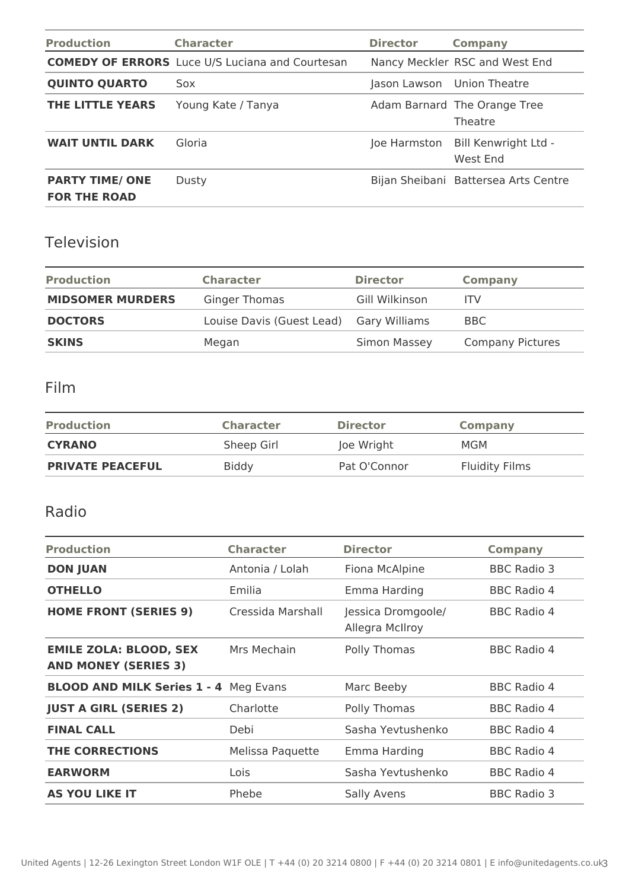| <b>Production</b>                             | <b>Character</b>                                       | <b>Director</b>            | <b>Company</b>                          |
|-----------------------------------------------|--------------------------------------------------------|----------------------------|-----------------------------------------|
|                                               | <b>COMEDY OF ERRORS</b> Luce U/S Luciana and Courtesan |                            | Nancy Meckler RSC and West End          |
| <b>QUINTO QUARTO</b>                          | Sox                                                    | Jason Lawson Union Theatre |                                         |
| <b>THE LITTLE YEARS</b>                       | Young Kate / Tanya                                     |                            | Adam Barnard The Orange Tree<br>Theatre |
| <b>WAIT UNTIL DARK</b>                        | Gloria                                                 | Joe Harmston               | Bill Kenwright Ltd -<br>West End        |
| <b>PARTY TIME/ ONE</b><br><b>FOR THE ROAD</b> | Dusty                                                  |                            | Bijan Sheibani Battersea Arts Centre    |

# Television

| <b>Production</b>       | <b>Character</b>                        | <b>Director</b> | <b>Company</b>          |
|-------------------------|-----------------------------------------|-----------------|-------------------------|
| <b>MIDSOMER MURDERS</b> | <b>Ginger Thomas</b>                    | Gill Wilkinson  | ITV                     |
| <b>DOCTORS</b>          | Louise Davis (Guest Lead) Gary Williams |                 | BBC.                    |
| <b>SKINS</b>            | Megan                                   | Simon Massey    | <b>Company Pictures</b> |

#### Film

| <b>Production</b>       | <b>Character</b> | <b>Director</b> | <b>Company</b>        |
|-------------------------|------------------|-----------------|-----------------------|
| <b>CYRANO</b>           | Sheep Girl       | Joe Wright      | MGM                   |
| <b>PRIVATE PEACEFUL</b> | <b>Biddy</b>     | Pat O'Connor    | <b>Fluidity Films</b> |

### Radio

| <b>Production</b>                                            | <b>Character</b>  | <b>Director</b>                       | <b>Company</b>     |
|--------------------------------------------------------------|-------------------|---------------------------------------|--------------------|
| <b>DON JUAN</b>                                              | Antonia / Lolah   | Fiona McAlpine                        | <b>BBC Radio 3</b> |
| <b>OTHELLO</b>                                               | Emilia            | Emma Harding                          | <b>BBC Radio 4</b> |
| <b>HOME FRONT (SERIES 9)</b>                                 | Cressida Marshall | Jessica Dromgoole/<br>Allegra McIlroy | <b>BBC Radio 4</b> |
| <b>EMILE ZOLA: BLOOD, SEX</b><br><b>AND MONEY (SERIES 3)</b> | Mrs Mechain       | Polly Thomas                          | <b>BBC Radio 4</b> |
| <b>BLOOD AND MILK Series 1 - 4 Meg Evans</b>                 |                   | Marc Beeby                            | <b>BBC Radio 4</b> |
| <b>JUST A GIRL (SERIES 2)</b>                                | Charlotte         | Polly Thomas                          | <b>BBC Radio 4</b> |
| <b>FINAL CALL</b>                                            | Debi              | Sasha Yevtushenko                     | <b>BBC Radio 4</b> |
| <b>THE CORRECTIONS</b>                                       | Melissa Paquette  | Emma Harding                          | <b>BBC Radio 4</b> |
| <b>EARWORM</b>                                               | Lois              | Sasha Yevtushenko                     | <b>BBC Radio 4</b> |
| <b>AS YOU LIKE IT</b>                                        | Phebe             | Sally Avens                           | <b>BBC Radio 3</b> |